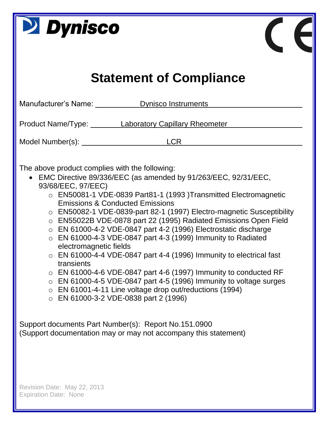| <b>Dynisco</b>                                                                                                                                                                                                                                                                                                                                                                                                                                                                                                                                                                                                                                                                                                                                                                                                                                                                                                                                                   |  |  |  |  |  |  |  |  |
|------------------------------------------------------------------------------------------------------------------------------------------------------------------------------------------------------------------------------------------------------------------------------------------------------------------------------------------------------------------------------------------------------------------------------------------------------------------------------------------------------------------------------------------------------------------------------------------------------------------------------------------------------------------------------------------------------------------------------------------------------------------------------------------------------------------------------------------------------------------------------------------------------------------------------------------------------------------|--|--|--|--|--|--|--|--|
| <b>Statement of Compliance</b>                                                                                                                                                                                                                                                                                                                                                                                                                                                                                                                                                                                                                                                                                                                                                                                                                                                                                                                                   |  |  |  |  |  |  |  |  |
| Manufacturer's Name: Dynisco Instruments                                                                                                                                                                                                                                                                                                                                                                                                                                                                                                                                                                                                                                                                                                                                                                                                                                                                                                                         |  |  |  |  |  |  |  |  |
| Product Name/Type: Laboratory Capillary Rheometer                                                                                                                                                                                                                                                                                                                                                                                                                                                                                                                                                                                                                                                                                                                                                                                                                                                                                                                |  |  |  |  |  |  |  |  |
| <b>LCR</b><br>Model Number(s): Note that the Model Number of the Model of the Model of the Model of the Model of the Model o                                                                                                                                                                                                                                                                                                                                                                                                                                                                                                                                                                                                                                                                                                                                                                                                                                     |  |  |  |  |  |  |  |  |
| The above product complies with the following:<br>• EMC Directive 89/336/EEC (as amended by 91/263/EEC, 92/31/EEC,<br>93/68/EEC, 97/EEC)<br>$\circ$ EN50081-1 VDE-0839 Part81-1 (1993) Transmitted Electromagnetic<br><b>Emissions &amp; Conducted Emissions</b><br>○ EN50082-1 VDE-0839-part 82-1 (1997) Electro-magnetic Susceptibility<br>o EN55022B VDE-0878 part 22 (1995) Radiated Emissions Open Field<br>$\circ$ EN 61000-4-2 VDE-0847 part 4-2 (1996) Electrostatic discharge<br>EN 61000-4-3 VDE-0847 part 4-3 (1999) Immunity to Radiated<br>$\bigcirc$<br>electromagnetic fields<br>$\circ$ EN 61000-4-4 VDE-0847 part 4-4 (1996) Immunity to electrical fast<br>transients<br>$\circ$ EN 61000-4-6 VDE-0847 part 4-6 (1997) Immunity to conducted RF<br>$\circ$ EN 61000-4-5 VDE-0847 part 4-5 (1996) Immunity to voltage surges<br>EN 61001-4-11 Line voltage drop out/reductions (1994)<br>$\circ$<br>$\circ$ EN 61000-3-2 VDE-0838 part 2 (1996) |  |  |  |  |  |  |  |  |
| Support documents Part Number(s): Report No.151.0900<br>(Support documentation may or may not accompany this statement)                                                                                                                                                                                                                                                                                                                                                                                                                                                                                                                                                                                                                                                                                                                                                                                                                                          |  |  |  |  |  |  |  |  |
| Revision Date: May 22, 2013<br><b>Expiration Date: None</b>                                                                                                                                                                                                                                                                                                                                                                                                                                                                                                                                                                                                                                                                                                                                                                                                                                                                                                      |  |  |  |  |  |  |  |  |